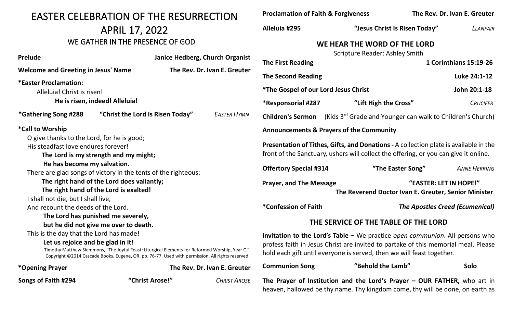| <b>EASTER CELEBRATION OF THE RESURRECTION</b>                                                                                                                                                                                                                                       |                                  |  |                                                                                                                                                                                                                                                            | <b>Proclamation of Faith &amp; Forgiveness</b>                                                                                                                                |                                                                                                                                                             |                   | The Rev. Dr. Ivan E. Greuter           |  |
|-------------------------------------------------------------------------------------------------------------------------------------------------------------------------------------------------------------------------------------------------------------------------------------|----------------------------------|--|------------------------------------------------------------------------------------------------------------------------------------------------------------------------------------------------------------------------------------------------------------|-------------------------------------------------------------------------------------------------------------------------------------------------------------------------------|-------------------------------------------------------------------------------------------------------------------------------------------------------------|-------------------|----------------------------------------|--|
| <b>APRIL 17, 2022</b>                                                                                                                                                                                                                                                               |                                  |  | Alleluia #295                                                                                                                                                                                                                                              |                                                                                                                                                                               | "Jesus Christ Is Risen Today"                                                                                                                               | LLANFAIR          |                                        |  |
| WE GATHER IN THE PRESENCE OF GOD                                                                                                                                                                                                                                                    |                                  |  |                                                                                                                                                                                                                                                            | WE HEAR THE WORD OF THE LORD                                                                                                                                                  |                                                                                                                                                             |                   |                                        |  |
| <b>Prelude</b>                                                                                                                                                                                                                                                                      |                                  |  | Janice Hedberg, Church Organist                                                                                                                                                                                                                            | <b>The First Reading</b>                                                                                                                                                      | <b>Scripture Reader: Ashley Smith</b>                                                                                                                       |                   | 1 Corinthians 15:19-26                 |  |
| <b>Welcome and Greeting in Jesus' Name</b>                                                                                                                                                                                                                                          |                                  |  | The Rev. Dr. Ivan E. Greuter                                                                                                                                                                                                                               | <b>The Second Reading</b>                                                                                                                                                     |                                                                                                                                                             |                   | Luke 24:1-12                           |  |
| *Easter Proclamation:<br>Alleluia! Christ is risen!                                                                                                                                                                                                                                 | He is risen, indeed! Alleluia!   |  |                                                                                                                                                                                                                                                            | <i>*The Gospel of our Lord Jesus Christ</i><br>*Responsorial #287                                                                                                             | "Lift High the Cross"                                                                                                                                       |                   | John 20:1-18<br><b>CRUCIFER</b>        |  |
| *Gathering Song #288                                                                                                                                                                                                                                                                | "Christ the Lord Is Risen Today" |  | <b>EASTER HYMN</b>                                                                                                                                                                                                                                         | <b>Children's Sermon</b>                                                                                                                                                      | (Kids 3 <sup>rd</sup> Grade and Younger can walk to Children's Church)                                                                                      |                   |                                        |  |
| <i>*</i> Call to Worship                                                                                                                                                                                                                                                            |                                  |  |                                                                                                                                                                                                                                                            |                                                                                                                                                                               | <b>Announcements &amp; Prayers of the Community</b>                                                                                                         |                   |                                        |  |
| O give thanks to the Lord, for he is good;<br>His steadfast love endures forever!<br>The Lord is my strength and my might;                                                                                                                                                          |                                  |  |                                                                                                                                                                                                                                                            | Presentation of Tithes, Gifts, and Donations - A collection plate is available in the<br>front of the Sanctuary, ushers will collect the offering, or you can give it online. |                                                                                                                                                             |                   |                                        |  |
| He has become my salvation.<br>There are glad songs of victory in the tents of the righteous:                                                                                                                                                                                       |                                  |  |                                                                                                                                                                                                                                                            | <b>Offertory Special #314</b>                                                                                                                                                 |                                                                                                                                                             | "The Easter Song" | <b>ANNE HERRING</b>                    |  |
| The right hand of the Lord does valiantly;<br>The right hand of the Lord is exalted!<br>I shall not die, but I shall live,                                                                                                                                                          |                                  |  |                                                                                                                                                                                                                                                            | <b>Prayer, and The Message</b><br>"EASTER: LET IN HOPE!"<br>The Reverend Doctor Ivan E. Greuter, Senior Minister                                                              |                                                                                                                                                             |                   |                                        |  |
| And recount the deeds of the Lord.                                                                                                                                                                                                                                                  |                                  |  |                                                                                                                                                                                                                                                            | *Confession of Faith                                                                                                                                                          |                                                                                                                                                             |                   | <b>The Apostles Creed (Ecumenical)</b> |  |
| The Lord has punished me severely,<br>but he did not give me over to death.                                                                                                                                                                                                         |                                  |  |                                                                                                                                                                                                                                                            | THE SERVICE OF THE TABLE OF THE LORD                                                                                                                                          |                                                                                                                                                             |                   |                                        |  |
| This is the day that the Lord has made!<br>Let us rejoice and be glad in it!<br>Timothy Matthew Slemmons, "The Joyful Feast: Liturgical Elements for Reformed Worship, Year C."<br>Copyright ©2014 Cascade Books, Eugene, OR, pp. 76-77. Used with permission. All rights reserved. |                                  |  | <b>Invitation to the Lord's Table –</b> We practice <i>open communion</i> . All persons who<br>profess faith in Jesus Christ are invited to partake of this memorial meal. Please<br>hold each gift until everyone is served, then we will feast together. |                                                                                                                                                                               |                                                                                                                                                             |                   |                                        |  |
| *Opening Prayer                                                                                                                                                                                                                                                                     |                                  |  | The Rev. Dr. Ivan E. Greuter                                                                                                                                                                                                                               | <b>Communion Song</b>                                                                                                                                                         | "Behold the Lamb"                                                                                                                                           |                   | Solo                                   |  |
| Songs of Faith #294                                                                                                                                                                                                                                                                 | "Christ Arose!"                  |  | <b>CHRIST AROSE</b>                                                                                                                                                                                                                                        |                                                                                                                                                                               | The Prayer of Institution and the Lord's Prayer $-$ OUR FATHER, who art in<br>heaven, hallowed be thy name. Thy kingdom come, thy will be done, on earth as |                   |                                        |  |